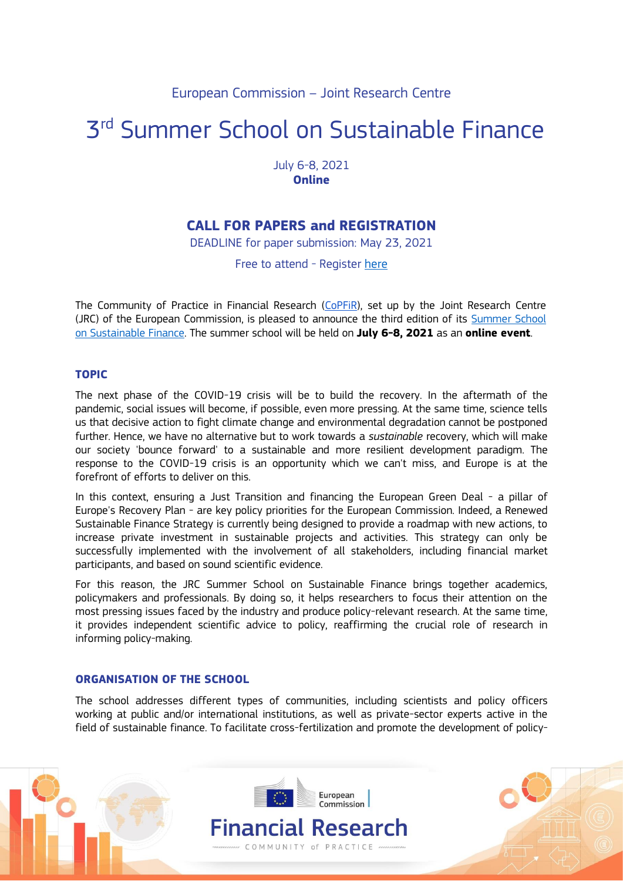## European Commission – Joint Research Centre

# 3<sup>rd</sup> Summer School on Sustainable Finance

July 6-8, 2021 **Online** 

# **CALL FOR PAPERS and REGISTRATION**

DEADLINE for paper submission: May 23, 2021

Free to attend - Register [here](https://ec.europa.eu/eusurvey/runner/SustFin2021)

The Community of Practice in Financial Research [\(CoPFiR\)](https://ec.europa.eu/jrc/communities/community/copfir), set up by the Joint Research Centre (JRC) of the European Commission, is pleased to announce the third edition of its Summer School [on Sustainable Finance.](https://ec.europa.eu/jrc/en/event/other-event/summer-school-sustainable-finance) The summer school will be held on **July 6-8, 2021** as an **online event**.

### **TOPIC**

The next phase of the COVID-19 crisis will be to build the recovery. In the aftermath of the pandemic, social issues will become, if possible, even more pressing. At the same time, science tells us that decisive action to fight climate change and environmental degradation cannot be postponed further. Hence, we have no alternative but to work towards a *sustainable* recovery, which will make our society 'bounce forward' to a sustainable and more resilient development paradigm. The response to the COVID-19 crisis is an opportunity which we can't miss, and Europe is at the forefront of efforts to deliver on this.

In this context, ensuring a Just Transition and financing the European Green Deal - a pillar of Europe's Recovery Plan - are key policy priorities for the European Commission. Indeed, a Renewed Sustainable Finance Strategy is currently being designed to provide a roadmap with new actions, to increase private investment in sustainable projects and activities. This strategy can only be successfully implemented with the involvement of all stakeholders, including financial market participants, and based on sound scientific evidence.

For this reason, the JRC Summer School on Sustainable Finance brings together academics, policymakers and professionals. By doing so, it helps researchers to focus their attention on the most pressing issues faced by the industry and produce policy-relevant research. At the same time, it provides independent scientific advice to policy, reaffirming the crucial role of research in informing policy-making.

#### **ORGANISATION OF THE SCHOOL**

The school addresses different types of communities, including scientists and policy officers working at public and/or international institutions, as well as private-sector experts active in the field of sustainable finance. To facilitate cross-fertilization and promote the development of policy-

> Financial Research COMMUNITY of PRACTICE

European Commission